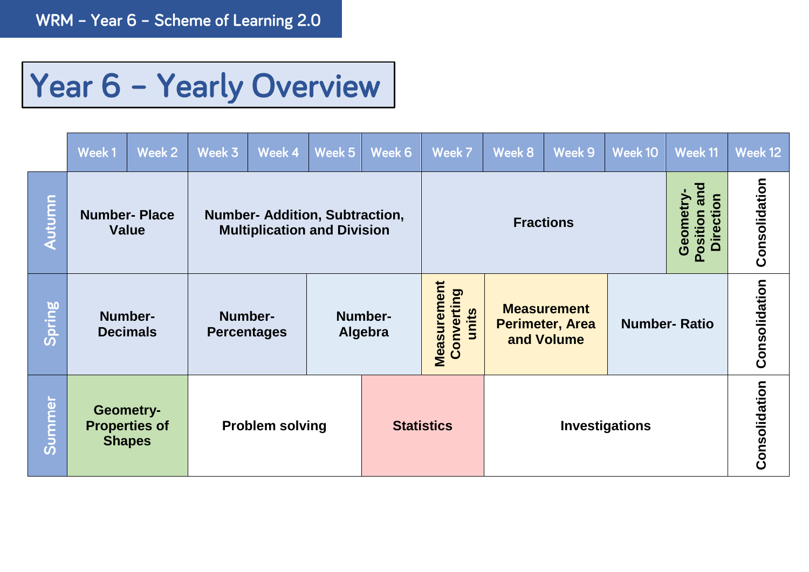## Year 6 - Yearly Overview

|               | Week 1                                             | Week 2 | Week 3                                                                      | Week 4                 | Week 5             | Week 6            | Week 7                             | Week 8                                                     | Week 9 | Week 10               | Week 11                                          | Week 12       |
|---------------|----------------------------------------------------|--------|-----------------------------------------------------------------------------|------------------------|--------------------|-------------------|------------------------------------|------------------------------------------------------------|--------|-----------------------|--------------------------------------------------|---------------|
| <b>Autumn</b> | <b>Number-Place</b><br><b>Value</b>                |        | <b>Number- Addition, Subtraction,</b><br><b>Multiplication and Division</b> |                        |                    |                   | <b>Fractions</b>                   |                                                            |        |                       | and<br>Geometry-<br><b>Direction</b><br>Position | Consolidation |
| Spring        | Number-<br><b>Decimals</b>                         |        | Number-<br><b>Percentages</b>                                               |                        | Number-<br>Algebra |                   | Measurement<br>Converting<br>units | <b>Measurement</b><br><b>Perimeter, Area</b><br>and Volume |        | <b>Number-Ratio</b>   |                                                  | Consolidation |
| Summer        | Geometry-<br><b>Properties of</b><br><b>Shapes</b> |        |                                                                             | <b>Problem solving</b> |                    | <b>Statistics</b> |                                    |                                                            |        | <b>Investigations</b> |                                                  | Consolidation |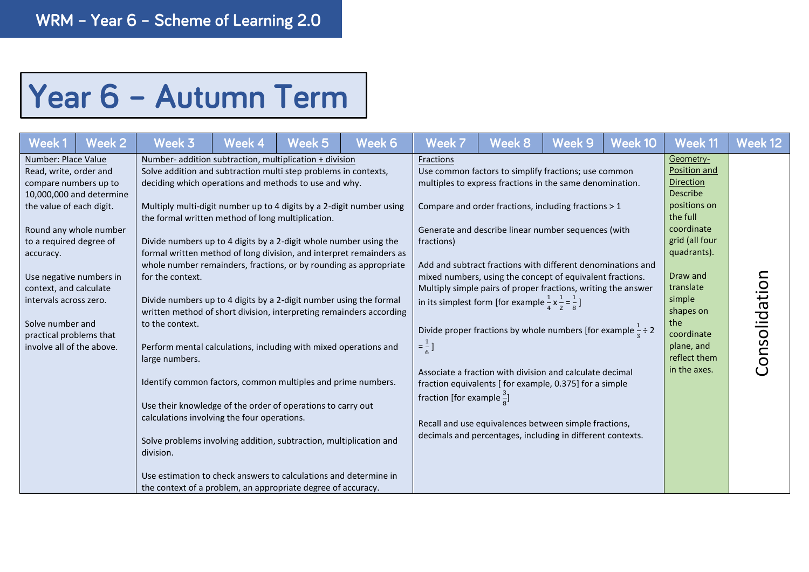## Year 6 - Autumn Term

| Week 1                                                                                                                                                                                                                                                                     | Week 2                                                                        | Week 3                                                                                                                                                                                                                                                                                                                                                                                                                                                                                                                                                                                                                                                                                                                                                                                                                                                                                                                                                                                                                                                                                                                                                                                                           | <b>Week 4</b> | Week <sub>5</sub> | Week 6 | Week 7                                                                               | Week 8                                                                                                                                                                                                                                                                                                                                                                                                                                                                                                                                                                                                                                                                                                                                                                                                                                         | Week 9 | Week 10 | Week 11                                                                                                                                                                                                                                                 | Week 12       |
|----------------------------------------------------------------------------------------------------------------------------------------------------------------------------------------------------------------------------------------------------------------------------|-------------------------------------------------------------------------------|------------------------------------------------------------------------------------------------------------------------------------------------------------------------------------------------------------------------------------------------------------------------------------------------------------------------------------------------------------------------------------------------------------------------------------------------------------------------------------------------------------------------------------------------------------------------------------------------------------------------------------------------------------------------------------------------------------------------------------------------------------------------------------------------------------------------------------------------------------------------------------------------------------------------------------------------------------------------------------------------------------------------------------------------------------------------------------------------------------------------------------------------------------------------------------------------------------------|---------------|-------------------|--------|--------------------------------------------------------------------------------------|------------------------------------------------------------------------------------------------------------------------------------------------------------------------------------------------------------------------------------------------------------------------------------------------------------------------------------------------------------------------------------------------------------------------------------------------------------------------------------------------------------------------------------------------------------------------------------------------------------------------------------------------------------------------------------------------------------------------------------------------------------------------------------------------------------------------------------------------|--------|---------|---------------------------------------------------------------------------------------------------------------------------------------------------------------------------------------------------------------------------------------------------------|---------------|
| Number: Place Value<br>Read, write, order and<br>compare numbers up to<br>the value of each digit.<br>to a required degree of<br>accuracy.<br>context, and calculate<br>intervals across zero.<br>Solve number and<br>practical problems that<br>involve all of the above. | 10,000,000 and determine<br>Round any whole number<br>Use negative numbers in | Number- addition subtraction, multiplication + division<br>Solve addition and subtraction multi step problems in contexts,<br>deciding which operations and methods to use and why.<br>Multiply multi-digit number up to 4 digits by a 2-digit number using<br>the formal written method of long multiplication.<br>Divide numbers up to 4 digits by a 2-digit whole number using the<br>formal written method of long division, and interpret remainders as<br>whole number remainders, fractions, or by rounding as appropriate<br>for the context.<br>Divide numbers up to 4 digits by a 2-digit number using the formal<br>written method of short division, interpreting remainders according<br>to the context.<br>Perform mental calculations, including with mixed operations and<br>large numbers.<br>Identify common factors, common multiples and prime numbers.<br>Use their knowledge of the order of operations to carry out<br>calculations involving the four operations.<br>Solve problems involving addition, subtraction, multiplication and<br>division.<br>Use estimation to check answers to calculations and determine in<br>the context of a problem, an appropriate degree of accuracy. |               |                   |        | Fractions<br>fractions)<br>$=\frac{1}{6}$ ]<br>fraction [for example $\frac{3}{8}$ ] | Use common factors to simplify fractions; use common<br>multiples to express fractions in the same denomination.<br>Compare and order fractions, including fractions > 1<br>Generate and describe linear number sequences (with<br>Add and subtract fractions with different denominations and<br>mixed numbers, using the concept of equivalent fractions.<br>Multiply simple pairs of proper fractions, writing the answer<br>in its simplest form [for example $\frac{1}{4} \times \frac{1}{2} = \frac{1}{8}$ ]<br>Divide proper fractions by whole numbers [for example $\frac{1}{2} \div 2$<br>Associate a fraction with division and calculate decimal<br>fraction equivalents [ for example, 0.375] for a simple<br>Recall and use equivalences between simple fractions,<br>decimals and percentages, including in different contexts. |        |         | Geometry-<br>Position and<br><b>Direction</b><br>Describe<br>positions on<br>the full<br>coordinate<br>grid (all four<br>quadrants).<br>Draw and<br>translate<br>simple<br>shapes on<br>the<br>coordinate<br>plane, and<br>reflect them<br>in the axes. | Consolidation |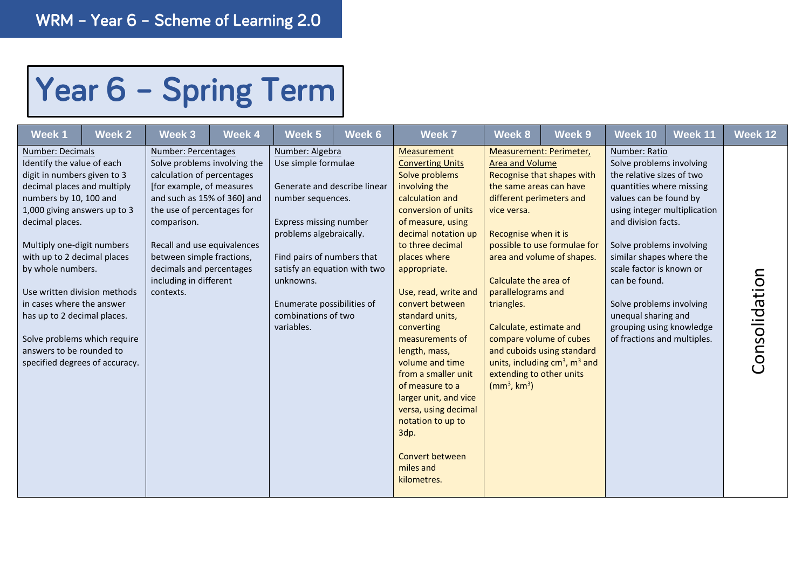## Year 6 - Spring Term

| Week 1                                                                                                                                                                                                                                                                                                                                                                                                                              | Week 2                         | Week 3                                                                                                                                                                                                                                                                                                                    | Week 4 | Week 5                                                                                                                                                                                                                                                                                         | Week 6 | Week 7                                                                                                                                                                                                                                                                                                                                                                                                                                                                                                                        | Week 8                                                                                                                                                                                                                                                                           | Week <sub>9</sub>                                                                                                                                                                                                 | Week 10                                                                                                                                                                                                                                                                                                                                                                | Week 11                      | Week 12       |
|-------------------------------------------------------------------------------------------------------------------------------------------------------------------------------------------------------------------------------------------------------------------------------------------------------------------------------------------------------------------------------------------------------------------------------------|--------------------------------|---------------------------------------------------------------------------------------------------------------------------------------------------------------------------------------------------------------------------------------------------------------------------------------------------------------------------|--------|------------------------------------------------------------------------------------------------------------------------------------------------------------------------------------------------------------------------------------------------------------------------------------------------|--------|-------------------------------------------------------------------------------------------------------------------------------------------------------------------------------------------------------------------------------------------------------------------------------------------------------------------------------------------------------------------------------------------------------------------------------------------------------------------------------------------------------------------------------|----------------------------------------------------------------------------------------------------------------------------------------------------------------------------------------------------------------------------------------------------------------------------------|-------------------------------------------------------------------------------------------------------------------------------------------------------------------------------------------------------------------|------------------------------------------------------------------------------------------------------------------------------------------------------------------------------------------------------------------------------------------------------------------------------------------------------------------------------------------------------------------------|------------------------------|---------------|
| Number: Decimals<br>Identify the value of each<br>digit in numbers given to 3<br>decimal places and multiply<br>numbers by 10, 100 and<br>1,000 giving answers up to 3<br>decimal places.<br>Multiply one-digit numbers<br>with up to 2 decimal places<br>by whole numbers.<br>Use written division methods<br>in cases where the answer<br>has up to 2 decimal places.<br>Solve problems which require<br>answers to be rounded to | specified degrees of accuracy. | Number: Percentages<br>Solve problems involving the<br>calculation of percentages<br>[for example, of measures<br>and such as 15% of 360] and<br>the use of percentages for<br>comparison.<br>Recall and use equivalences<br>between simple fractions,<br>decimals and percentages<br>including in different<br>contexts. |        | Number: Algebra<br>Use simple formulae<br>Generate and describe linear<br>number sequences.<br>Express missing number<br>problems algebraically.<br>Find pairs of numbers that<br>satisfy an equation with two<br>unknowns.<br>Enumerate possibilities of<br>combinations of two<br>variables. |        | Measurement<br><b>Converting Units</b><br>Solve problems<br>involving the<br>calculation and<br>conversion of units<br>of measure, using<br>decimal notation up<br>to three decimal<br>places where<br>appropriate.<br>Use, read, write and<br>convert between<br>standard units,<br>converting<br>measurements of<br>length, mass,<br>volume and time<br>from a smaller unit<br>of measure to a<br>larger unit, and vice<br>versa, using decimal<br>notation to up to<br>3dp.<br>Convert between<br>miles and<br>kilometres. | <b>Area and Volume</b><br>the same areas can have<br>different perimeters and<br>vice versa.<br>Recognise when it is<br>Calculate the area of<br>parallelograms and<br>triangles.<br>Calculate, estimate and<br>extending to other units<br>(mm <sup>3</sup> , km <sup>3</sup> ) | Measurement: Perimeter,<br>Recognise that shapes with<br>possible to use formulae for<br>area and volume of shapes.<br>compare volume of cubes<br>and cuboids using standard<br>units, including $cm3$ , $m3$ and | Number: Ratio<br>Solve problems involving<br>the relative sizes of two<br>quantities where missing<br>values can be found by<br>and division facts.<br>Solve problems involving<br>similar shapes where the<br>scale factor is known or<br>can be found.<br>Solve problems involving<br>unequal sharing and<br>grouping using knowledge<br>of fractions and multiples. | using integer multiplication | Consolidation |